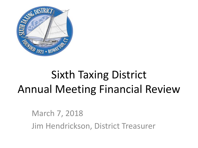

# Sixth Taxing District Annual Meeting Financial Review

March 7, 2018 Jim Hendrickson, District Treasurer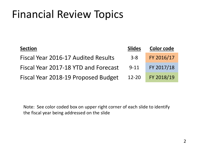| <b>Section</b>                       | <b>Slides</b> | <b>Color code</b> |
|--------------------------------------|---------------|-------------------|
| Fiscal Year 2016-17 Audited Results  | $3 - 8$       | FY 2016/17        |
| Fiscal Year 2017-18 YTD and Forecast | $9 - 11$      | FY 2017/18        |
| Fiscal Year 2018-19 Proposed Budget  | $12 - 20$     | FY 2018/19        |

Note: See color coded box on upper right corner of each slide to identify the fiscal year being addressed on the slide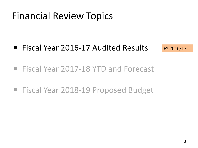■ Fiscal Year 2016-17 Audited Results

FY 2016/17

- Fiscal Year 2017-18 YTD and Forecast
- Fiscal Year 2018-19 Proposed Budget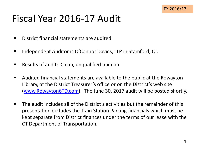# Fiscal Year 2016-17 Audit

- District financial statements are audited
- Independent Auditor is O'Connor Davies, LLP in Stamford, CT.
- Results of audit: Clean, unqualified opinion
- Audited financial statements are available to the public at the Rowayton Library, at the District Treasurer's office or on the District's web site ([www.Rowayton6TD.com\)](http://www.rowayton6td.com/). The June 30, 2017 audit will be posted shortly.
- The audit includes all of the District's activities but the remainder of this presentation excludes the Train Station Parking financials which must be kept separate from District finances under the terms of our lease with the CT Department of Transportation.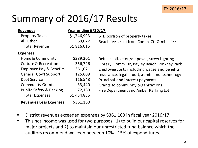# Summary of 2016/17 Results

| <b>Revenues</b>                    | <u>Year ending 6/30/17</u> |                                               |
|------------------------------------|----------------------------|-----------------------------------------------|
| <b>Property Taxes</b>              | \$1,746,993                | 6TD portion of property taxes                 |
| All Other                          | 69,022                     | Beach fees, rent from Comm. Ctr & misc fees   |
| <b>Total Revenue</b>               | \$1,816,015                |                                               |
| <b>Expenses</b>                    |                            |                                               |
| Home & Community                   | \$389,301                  | Refuse collection/disposal, street lighting   |
| <b>Culture &amp; Recreation</b>    | 356,726                    | Library, Comm Ctr, Bayley Beach, Pinkney Park |
| <b>Employee Pay &amp; Benefits</b> | 361,071                    | Employee costs including wages and benefits   |
| <b>General Gov't Support</b>       | 125,609                    | Insurance, legal, audit, admin and technology |
| Debt Service                       | 116,548                    | Principal and interest payments               |
| <b>Community Grants</b>            | 33,440                     | Grants to community organizations             |
| Public Safety & Parking            | 72,160                     | Fire Department and Amber Parking Lot         |
| <b>Total Expenses</b>              | \$1,454,855                |                                               |
| <b>Revenues Less Expenses</b>      | \$361,160                  |                                               |

- District revenues exceeded expenses by \$361,160 in fiscal year 2016/17.
- **This net income was used for two purposes: 1) to build our capital reserves for** major projects and 2) to maintain our unrestricted fund balance which the auditors recommend we keep between 10% - 15% of expenditures.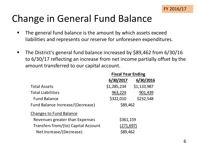

# Change in General Fund Balance

- The general fund balance is the amount by which assets exceed liabilities and represents our reserve for unforeseen expenditures.
- The District's general fund balance increased by \$89,462 from 6/30/16 to 6/30/17 reflecting an increase from net income partially offset by the amount transferred to our capital account.

|                                     | <b>Fiscal Year Ending</b> |             |  |
|-------------------------------------|---------------------------|-------------|--|
|                                     | 6/30/2017                 | 6/30/2016   |  |
| <b>Total Assets</b>                 | \$1,285,234               | \$1,133,987 |  |
| <b>Total Liabilities</b>            | 963,224                   | 901,439     |  |
| <b>Fund Balance</b>                 | \$322,010                 | \$232,548   |  |
| Fund Balance Increase/(Decrease)    | \$89,462                  |             |  |
| <b>Changes to Fund Balance</b>      |                           |             |  |
| Revenues greater than Expenses      | \$361,159                 |             |  |
| Transfers from/(to) Capital Account | (271, 697)                |             |  |
| Net Increase/(Decrease)             | \$89,462                  |             |  |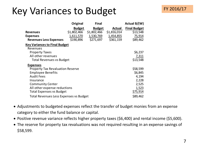# Key Variances to Budget

|                                         | Original      | <b>Final</b>  |             | Actual B/(W)        |
|-----------------------------------------|---------------|---------------|-------------|---------------------|
|                                         | <b>Budget</b> | <b>Budget</b> | Actual      | <b>Final Budget</b> |
| <b>Revenues</b>                         | \$1,802,466   | \$1,802,466   | \$1,816,014 | \$13,548            |
| <b>Expenses</b>                         | 1,611,570     | 1,530,769     | 1,454,855   | 75,914              |
| <b>Revenues Less Expenses</b>           | \$190,896     | \$271,697     | \$361,159   | \$89,462            |
| <b>Key Variances to Final Budget</b>    |               |               |             |                     |
| Revenues                                |               |               |             |                     |
| <b>Property Taxes</b>                   |               |               |             | \$6,237             |
| All other revenues                      |               |               |             | 7,311               |
| <b>Total Revenues vs Budget</b>         |               |               |             | \$13,548            |
| <b>Expenses</b>                         |               |               |             |                     |
| <b>Property Tax Revaluation Reserve</b> |               |               |             | \$58,599            |
| <b>Employee Benefits</b>                |               |               |             | \$6,845             |
| <b>Audit Fees</b>                       |               |               |             | 4,194               |
| Insurance                               |               |               |             | 2,228               |
| <b>Community Center</b>                 |               |               |             | 2,525               |
| All other expense reductions            |               |               |             | 1,523               |
| <b>Total Expenses vs Budget</b>         |               |               |             | \$75,914            |
| Total Revenues Less Expenses vs Budget  |               |               |             | \$89,462            |

- Adjustments to budgeted expenses reflect the transfer of budget monies from an expense category to either the fund balance or capital.
- Positive revenue variance reflects higher property taxes (\$6,400) and rental income (\$5,600).
- The reserve for property tax revaluations was not required resulting in an expense savings of \$58,599.

FY 2016/17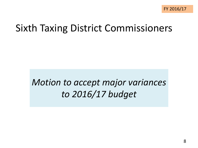# Sixth Taxing District Commissioners

#### *Motion to accept major variances to 2016/17 budget*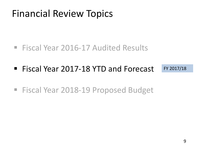- Fiscal Year 2016-17 Audited Results
- Fiscal Year 2017-18 YTD and Forecast FY 2017/18
- Fiscal Year 2018-19 Proposed Budget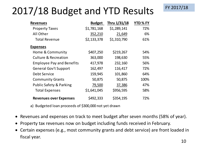# 2017/18 Budget and YTD Results

| <b>Revenues</b>                    | <b>Budget</b> | Thru 1/31/18 | YTD % FY |
|------------------------------------|---------------|--------------|----------|
| <b>Property Taxes</b>              | \$1,781,168   | \$1,289,141  | 72%      |
| All Other                          | 352,210       | 21,649       | 6%       |
| <b>Total Revenue</b>               | \$2,133,378   | \$1,310,790  | 61%      |
| <b>Expenses</b>                    |               |              |          |
| Home & Community                   | \$407,250     | \$219,267    | 54%      |
| <b>Culture &amp; Recreation</b>    | 363,000       | 198,630      | 55%      |
| <b>Employee Pay and Benefits</b>   | 417,978       | 232,160      | 56%      |
| <b>General Gov't Support</b>       | 162,497       | 116,417      | 72%      |
| Debt Service                       | 159,945       | 101,860      | 64%      |
| <b>Community Grants</b>            | 50,875        | 50,875       | 100%     |
| <b>Public Safety &amp; Parking</b> | 79,500        | 37,386       | 47%      |
| <b>Total Expenses</b>              | \$1,641,045   | \$956,595    | 58%      |
| <b>Revenues over Expenses</b>      | \$492,333     | \$354,195    | 72%      |

a) Budgeted loan proceeds of \$300,000 not yet drawn

- Revenues and expenses on track to meet budget after seven months (58% of year).
- Property tax revenues now on budget including funds received in February.
- Certain expenses (e.g., most community grants and debt service) are front loaded in fiscal year.

FY 2017/18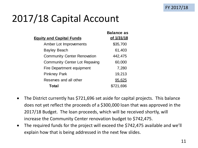# 2017/18 Capital Account

| <b>Balance as</b> |
|-------------------|
| of 1/31/18        |
| \$35,700          |
| 61,403            |
| 442,475           |
| 60,000            |
| 7,280             |
| 19,213            |
| 95,625            |
| 721,696           |
|                   |

- The District currently has \$721,696 set aside for capital projects. This balance does not yet reflect the proceeds of a \$300,000 loan that was approved in the 2017/18 Budget. The loan proceeds, which will be received shortly, will increase the Community Center renovation budget to \$742,475.
- The required funds for the project will exceed the \$742,475 available and we'll explain how that is being addressed in the next few slides.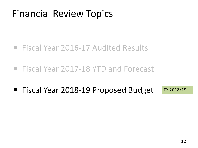- Fiscal Year 2016-17 Audited Results
- Fiscal Year 2017-18 YTD and Forecast
- Fiscal Year 2018-19 Proposed Budget FY 2018/19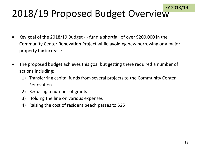# 2018/19 Proposed Budget Overview

- Key goal of the 2018/19 Budget - fund a shortfall of over \$200,000 in the Community Center Renovation Project while avoiding new borrowing or a major property tax increase.
- The proposed budget achieves this goal but getting there required a number of actions including:
	- 1) Transferring capital funds from several projects to the Community Center Renovation
	- 2) Reducing a number of grants
	- 3) Holding the line on various expenses
	- 4) Raising the cost of resident beach passes to \$25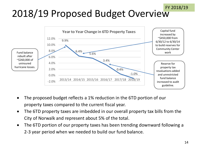#### FY 2018/19

# 2018/19 Proposed Budget Overview



- The proposed budget reflects a 1% reduction in the 6TD portion of our property taxes compared to the current fiscal year.
- The 6TD property taxes are imbedded in our overall property tax bills from the City of Norwalk and represent about 5% of the total.
- The 6TD portion of our property taxes has been trending downward following a 2-3 year period when we needed to build our fund balance.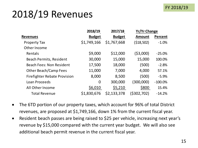#### FY 2018/19

# 2018/19 Revenues

|                                     | 2018/19<br>2017/18 |               | <b>Yr/Yr Change</b> |                |  |
|-------------------------------------|--------------------|---------------|---------------------|----------------|--|
| <b>Revenues</b>                     | <b>Budget</b>      | <b>Budget</b> | <b>Amount</b>       | <b>Percent</b> |  |
| <b>Property Tax</b>                 | \$1,749,166        | \$1,767,668   | (518, 502)          | $-1.0%$        |  |
| Other Income                        |                    |               |                     |                |  |
| Rentals                             | \$9,000            | \$12,000      | (\$3,000)           | $-25.0%$       |  |
| <b>Beach Permits, Resident</b>      | 30,000             | 15,000        | 15,000              | 100.0%         |  |
| <b>Beach Fees: Non Resident</b>     | 17,500             | 18,000        | (500)               | $-2.8%$        |  |
| Other Beach/Camp Fees               | 11,000             | 7,000         | 4,000               | 57.1%          |  |
| <b>Firefighter Rebate Provision</b> | 8,000              | 8,500         | (500)               | $-5.9%$        |  |
| Loan Proceeds                       | $\overline{0}$     | 300,000       | (300,000)           | $-100.0\%$     |  |
| All Other Income                    | \$6,010            | \$5,210       | \$800               | 15.4%          |  |
| <b>Total Revenue</b>                | \$1,830,676        | \$2,133,378   | (\$302,702)         | $-14.2%$       |  |

- The 6TD portion of our property taxes, which account for 96% of total District revenues, are proposed at \$1,749,166, down 1% from the current fiscal year.
- Resident beach passes are being raised to \$25 per vehicle, increasing next year's revenue by \$15,000 compared with the current year budget. We will also see additional beach permit revenue in the current fiscal year.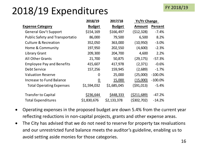# 2018/19 Expenditures

|                                        | 2018/19         | 2017/18       | <b>Yr/Yr Change</b> |           |
|----------------------------------------|-----------------|---------------|---------------------|-----------|
| <b>Expense Category</b>                | <b>Budget</b>   | <b>Budget</b> | <b>Amount</b>       | Percent   |
| <b>General Gov't Support</b>           | \$154,169       | \$166,497     | (512, 328)          | $-7.4%$   |
| <b>Public Safety and Transportatio</b> | 86,000          | 79,500        | 6,500               | 8.2%      |
| <b>Culture &amp; Recreation</b>        | 352,050         | 363,000       | (10, 950)           | $-3.0%$   |
| Home & Community                       | 197,950         | 202,550       | (4,600)             | $-2.3%$   |
| <b>Library Grant</b>                   | 209,300         | 204,700       | 4,600               | 2.2%      |
| <b>All Other Grants</b>                | 21,700          | 50,875        | (29, 175)           | $-57.3%$  |
| <b>Employee Pay and Benefits</b>       | 415,607         | 417,978       | (2, 371)            | $-0.6%$   |
| Debt Service                           | 157,256         | 159,945       | (2,689)             | $-1.7%$   |
| <b>Valuation Reserve</b>               | 0               | 25,000        | (25,000)            | $-100.0%$ |
| Increase to Fund Balance               | $\underline{0}$ | 15,000        | (15,000)            | $-100.0%$ |
| <b>Total Operating Expenses</b>        | \$1,594,032     | \$1,685,045   | (591, 013)          | $-5.4%$   |
| <b>Transfer to Capital</b>             | \$236,644       | \$448,333     | (5211, 689)         | $-47.2%$  |
| <b>Total Expenditures</b>              | \$1,830,676     | \$2,133,378   | (5302, 702)         | $-14.2%$  |

- Operating expenses in the proposed budget are down 5.4% from the current year reflecting reductions in non-capital projects, grants and other expense areas.
- The City has advised that we do not need to reserve for property tax revaluations and our unrestricted fund balance meets the auditor's guideline, enabling us to avoid setting aside monies for those categories.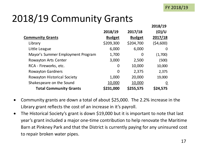# 2018/19 Community Grants

|                                    |                |               | 2018/19         |
|------------------------------------|----------------|---------------|-----------------|
|                                    | 2018/19        | 2017/18       | (O)/U           |
| <b>Community Grants</b>            | <b>Budget</b>  | <b>Budget</b> | 2017/18         |
| Library                            | \$209,300      | \$204,700     | (54,600)        |
| Little League                      | 6,000          | 6,000         | 0               |
| Mayor's Summer Employment Program  | 1,700          | 0             | (1,700)         |
| <b>Rowayton Arts Center</b>        | 3,000          | 2,500         | (500)           |
| RCA - Fireworks, etc.              | 0              | 10,000        | 10,000          |
| <b>Rowayton Gardners</b>           | $\overline{0}$ | 2,375         | 2,375           |
| <b>Rowayton Historical Society</b> | 1,000          | 20,000        | 19,000          |
| Shakespeare on the Sound           | 10,000         | 10,000        | $\underline{0}$ |
| <b>Total Community Grants</b>      | \$231,000      | \$255,575     | \$24,575        |

- Community grants are down a total of about \$25,000. The 2.2% increase in the Library grant reflects the cost of an increase in it's payroll.
- The Historical Society's grant is down \$19,000 but it is important to note that last year's grant included a major one-time contribution to help renovate the Maritime Barn at Pinkney Park and that the District is currently paying for any uninsured cost to repair broken water pipes.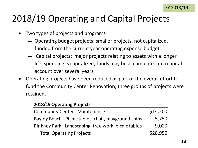#### 2018/19 Operating and Capital Projects

- Two types of projects and programs
	- ▬ Operating budget projects: smaller projects, not capitalized, funded from the current year operating expense budget
	- ▬ Capital projects: major projects relating to assets with a longer life, spending is capitalized, funds may be accumulated in a capital account over several years
- Operating projects have been reduced as part of the overall effort to fund the Community Center Renovation; three groups of projects were retained.

#### **2018/19 Operating Projects**

| <b>Community Center - Maintenance</b>                 | \$14,200 |
|-------------------------------------------------------|----------|
| Bayley Beach - Picnic tables, chair, playground chips | 5,750    |
| Pinkney Park - Landscaping, tree work, picnic tables  | 9,000    |
| <b>Total Operating Projects</b>                       | \$28,950 |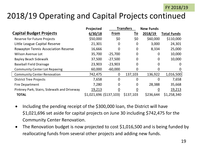#### 2018/19 Operating and Capital Projects continued

|                                             | Projected                |             | <b>Transfers</b> | <b>New Funds</b> |                    |
|---------------------------------------------|--------------------------|-------------|------------------|------------------|--------------------|
| <b>Capital Budget Projects</b>              | 6/30/18                  | From        | <u>To</u>        | 2018/19          | <b>Total Funds</b> |
| <b>Reserve for Future Projects</b>          | \$50,000                 | \$0         | \$0              | \$60,000         | \$110,000          |
| Little League Capital Reserve               | 21,301                   | 0           | 0                | 3,000            | 24,301             |
| <b>Rowayton Tennis Association Reserve</b>  | 16,666                   | $\mathbf 0$ | $\mathbf 0$      | 8,334            | 25,000             |
| <b>Wilson Avenue Lot</b>                    | 35,700                   | $-25,700$   | $\overline{0}$   | 0                | 10,000             |
| <b>Bayley Beach Sidewalk</b>                | 37,500                   | $-27,500$   | $\Omega$         | $\mathbf 0$      | 10,000             |
| <b>Baseball Field Drainage</b>              | 23,903                   | $-23,903$   | 0                | 0                | 0                  |
| <b>Community Center Lot Repaving</b>        | 60,000                   | $-60,000$   | 0                | 0                | O                  |
| <b>Community Center Renovation</b>          | 742,475                  | $\mathbf 0$ | 137,103          | 136,922          | 1,016,500          |
| <b>District Tree Projects</b>               | 7,658                    | $\mathbf 0$ | $\Omega$         | $\mathbf 0$      | 7,658              |
| <b>Fire Department</b>                      | 7,280                    | $\mathbf 0$ | $\overline{0}$   | 28,388           | 35,668             |
| Pinkney Park, Stairs, Sidewalk and Driveway | 19,213                   | 0           | 0                | $\boldsymbol{0}$ | 19,213             |
| <b>TOTAL</b>                                | $$1,021,696$ (\$137,103) |             | \$137,103        | \$236,644        | \$1,258,340        |

- Including the pending receipt of the \$300,000 loan, the District will have \$1,021,696 set aside for capital projects on June 30 including \$742,475 for the Community Center Renovation.
- The Renovation budget is now projected to cost \$1,016,500 and is being funded by reallocating funds from several other projects and adding new funds.